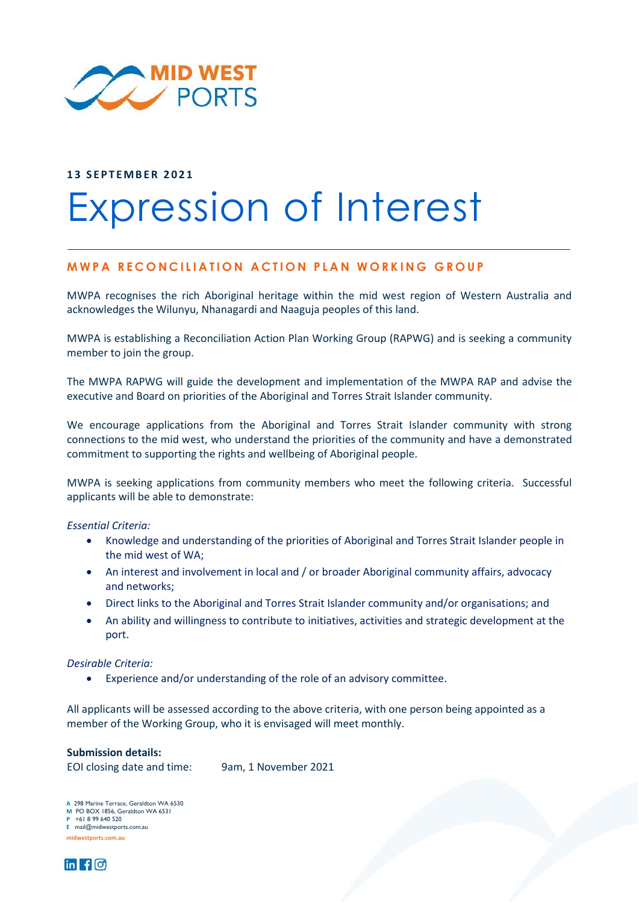

### **1 3 S E P T E M B E R 2 0 2 1**

# Expression of Interest

# **MWPA RECONCILIATION ACTION PLAN WORKING GROUP**

MWPA recognises the rich Aboriginal heritage within the mid west region of Western Australia and acknowledges the Wilunyu, Nhanagardi and Naaguja peoples of this land.

MWPA is establishing a Reconciliation Action Plan Working Group (RAPWG) and is seeking a community member to join the group.

The MWPA RAPWG will guide the development and implementation of the MWPA RAP and advise the executive and Board on priorities of the Aboriginal and Torres Strait Islander community.

We encourage applications from the Aboriginal and Torres Strait Islander community with strong connections to the mid west, who understand the priorities of the community and have a demonstrated commitment to supporting the rights and wellbeing of Aboriginal people.

MWPA is seeking applications from community members who meet the following criteria. Successful applicants will be able to demonstrate:

*Essential Criteria:* 

- Knowledge and understanding of the priorities of Aboriginal and Torres Strait Islander people in the mid west of WA;
- An interest and involvement in local and / or broader Aboriginal community affairs, advocacy and networks;
- Direct links to the Aboriginal and Torres Strait Islander community and/or organisations; and
- An ability and willingness to contribute to initiatives, activities and strategic development at the port.

### *Desirable Criteria:*

• Experience and/or understanding of the role of an advisory committee.

All applicants will be assessed according to the above criteria, with one person being appointed as a member of the Working Group, who it is envisaged will meet monthly.

### **Submission details:**

EOI closing date and time: 9am, 1 November 2021

**A** 298 Marine Terrace, Geraldton WA 6530 **A** 298 Marine Terrace, Geraldton WA<br>**M** PO BOX 1856, Geraldton WA 6531 **P** +61 8 99 640 520 **E** mail@midwestports.com.au **midwestports.com.au**

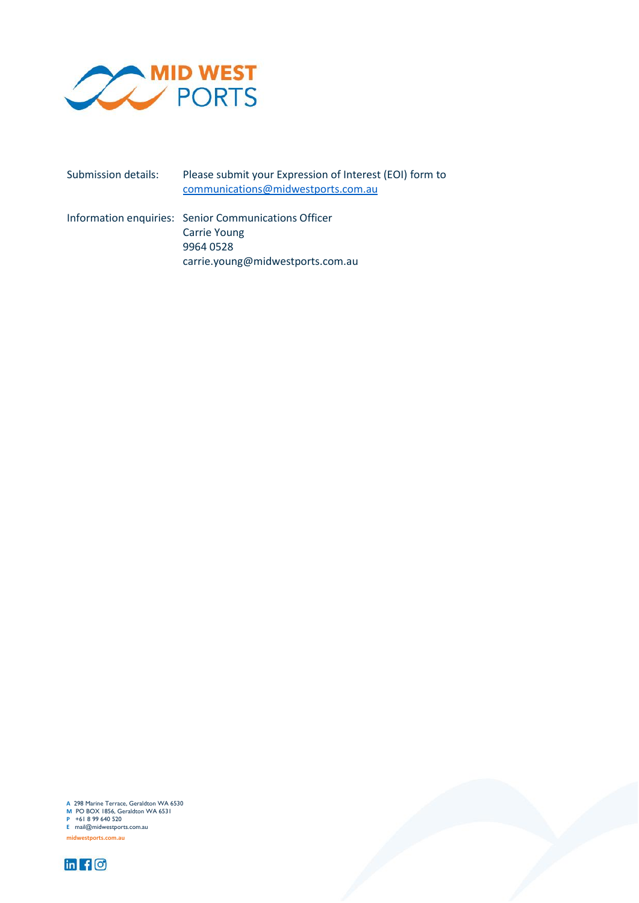

Submission details: Please submit your Expression of Interest (EOI) form to [communications@midwestports.com.au](mailto:communications@midwestports.com.au)

Information enquiries: Senior Communications Officer Carrie Young 9964 0528 carrie.young@midwestports.com.au

**A** 298 Marine Terrace, Geraldton WA 6530 **M** 298 Marine Terrace, Geraldton WA 65<br>**M** PO BOX 1856, Geraldton WA 6531<br>**P** +61 8 99 640 520 **E** mail@midwestports.com.au **midwestports.com.au**



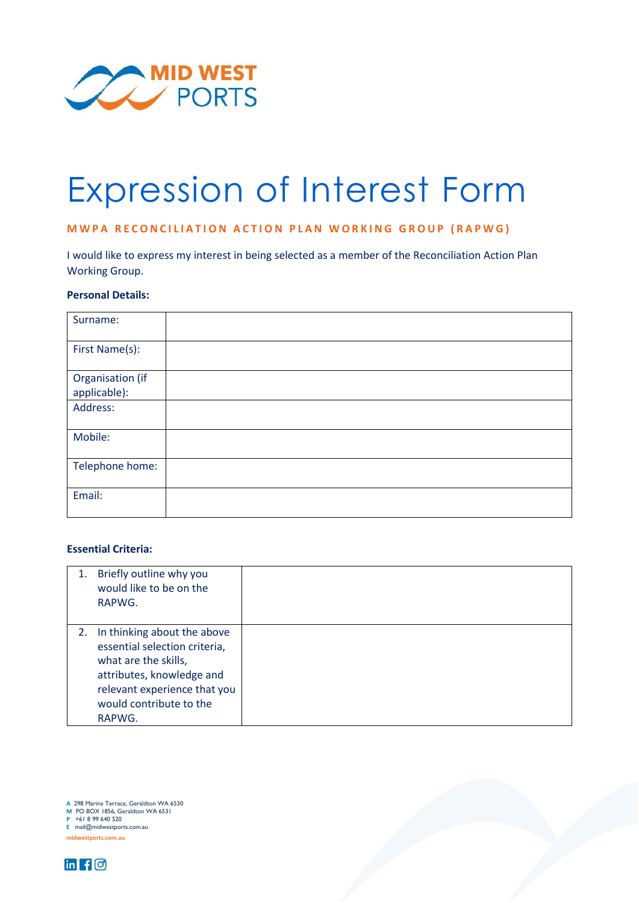

# Expression of Interest Form

# **MWPA RECONCILIATION ACTION PLAN WORKING GROUP (RAPWG)**

I would like to express my interest in being selected as a member of the Reconciliation Action Plan Working Group.

### **Personal Details:**

| Surname:                         |  |
|----------------------------------|--|
| First Name(s):                   |  |
| Organisation (if<br>applicable): |  |
| Address:                         |  |
| Mobile:                          |  |
| Telephone home:                  |  |
| Email:                           |  |

## **Essential Criteria:**

|    | Briefly outline why you<br>would like to be on the<br>RAPWG.                                                                                                                           |  |
|----|----------------------------------------------------------------------------------------------------------------------------------------------------------------------------------------|--|
| 2. | In thinking about the above<br>essential selection criteria,<br>what are the skills,<br>attributes, knowledge and<br>relevant experience that you<br>would contribute to the<br>RAPWG. |  |

**A** 298 Marine Terrace, Geraldton WA 6530 **A** 298 Marine Terrace, Geraldton WA<br>**M** PO BOX 1856, Geraldton WA 6531 **P** +61 8 99 640 520

**E** mail@midwestports.com.au

**midwestports.com.au**